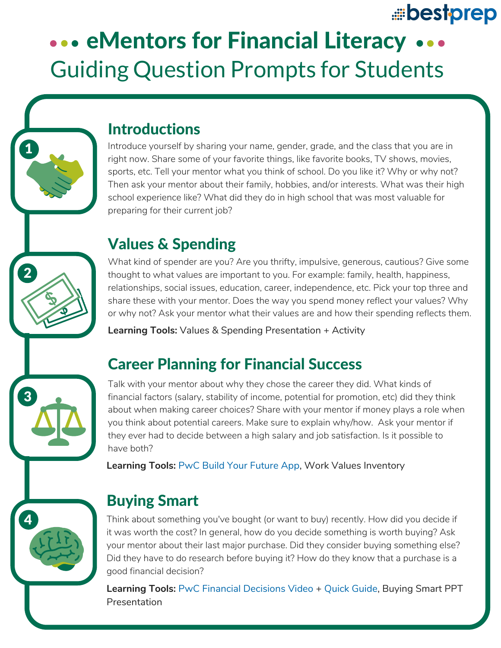# bestprep

# ... eMentors for Financial Literacy ... Guiding Question Prompts for Students



#### **Introductions**

Introduce yourself by sharing your name, gender, grade, and the class that you are in right now. Share some of your favorite things, like favorite books, TV shows, movies, sports, etc. Tell your mentor what you think of school. Do you like it? Why or why not? Then ask your mentor about their family, hobbies, and/or interests. What was their high school experience like? What did they do in high school that was most valuable for preparing for their current job?

#### Values & Spending

 $\mathbf{2}$ 

4

3

What kind of spender are you? Are you thrifty, impulsive, generous, cautious? Give some thought to what values are important to you. For example: family, health, happiness, relationships, social issues, education, career, independence, etc. Pick your top three and share these with your mentor. Does the way you spend money reflect your values? Why or why not? Ask your mentor what their values are and how their spending reflects them.

**Learning Tools:** Values & Spending Presentation + Activity

## Career Planning for Financial Success

Talk with your mentor about why they chose the career they did. What kinds of financial factors (salary, stability of income, potential for promotion, etc) did they think about when making career choices? Share with your mentor if money plays a role when you think about potential careers. Make sure to explain why/how. Ask your mentor if they ever had to decide between a high salary and job satisfaction. Is it possible to have both?

**Learning Tools:** PwC Build Your Future App, Work Values [Inventory](https://www.juniorachievement.org/s3/apps/ja-byf/#/career)

# Buying Smart

Think about something you've bought (or want to buy) recently. How did you decide if it was worth the cost? In general, how do you decide something is worth buying? Ask your mentor about their last major purchase. Did they consider buying something else? Did they have to do research before buying it? How do they know that a purchase is a good financial decision?

**Learning Tools:** PwC Financial Decisions Video + Quick Guide, Buying Smart PPT **[Presentation](https://www.youtube.com/watch?v=JSXWbiWTKLM&t=4s)**